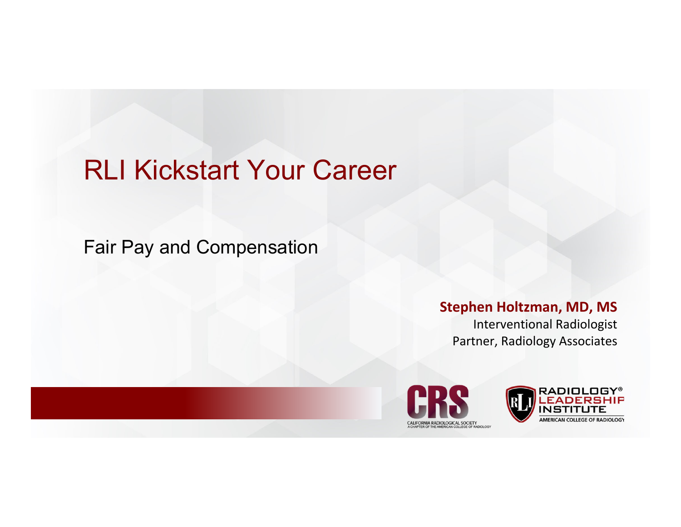## RLI Kickstart Your Career

Fair Pay and Compensation

#### **Stephen Holtzman, MD, MS**

Interventional Radiologist Partner, Radiology Associates



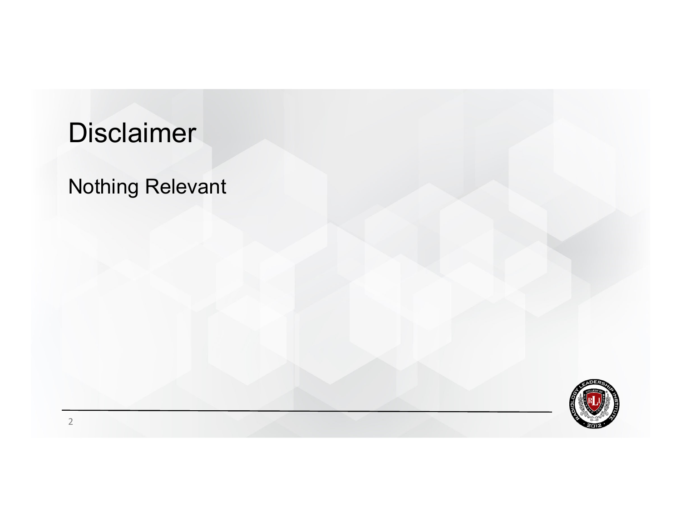# **Disclaimer**

#### Nothing Relevant

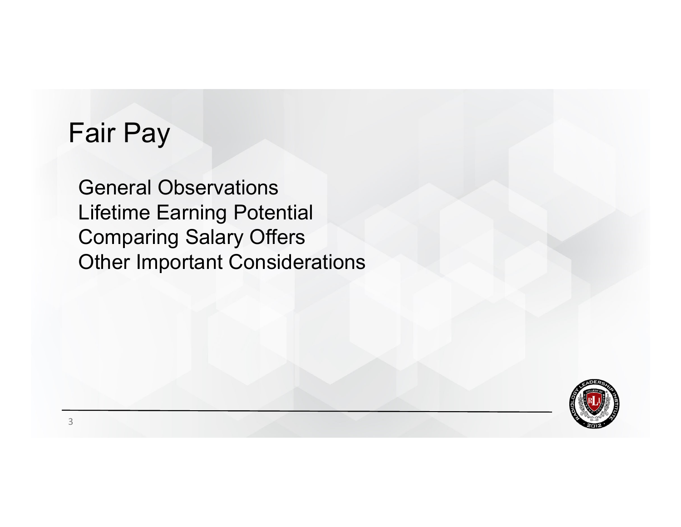#### Fair Pay

General Observations Lifetime Earning Potential Comparing Salary Offers Other Important Considerations

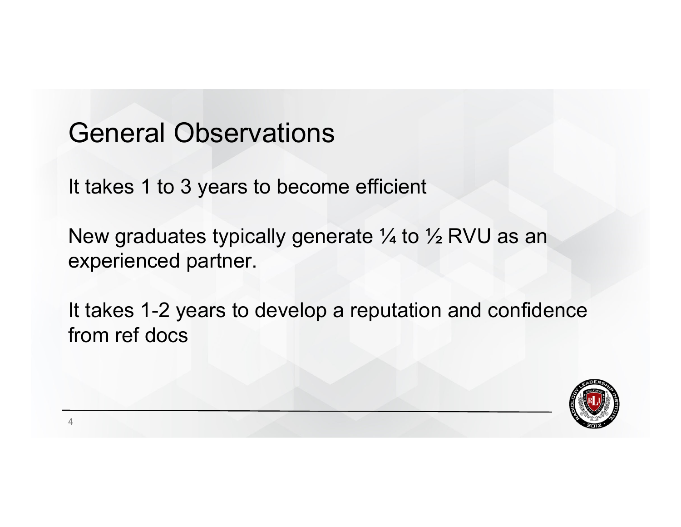#### General Observations

It takes 1 to 3 years to become efficient

New graduates typically generate 1/4 to 1/2 RVU as an experienced partner.

It takes 1-2 years to develop a reputation and confidence from ref docs

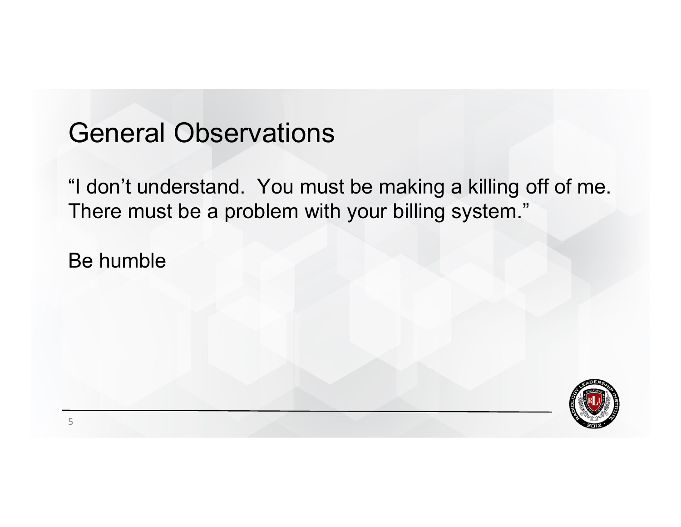#### General Observations

"I don't understand. You must be making a killing off of me. There must be a problem with your billing system."

Be humble

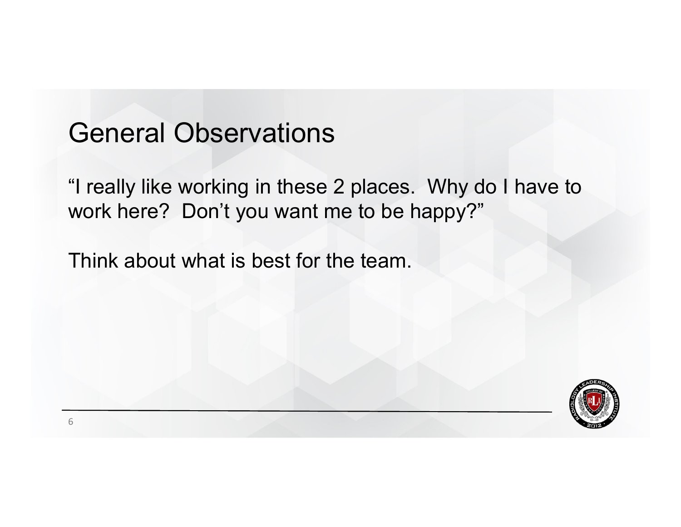#### General Observations

"I really like working in these 2 places. Why do I have to work here? Don't you want me to be happy?"

Think about what is best for the team.

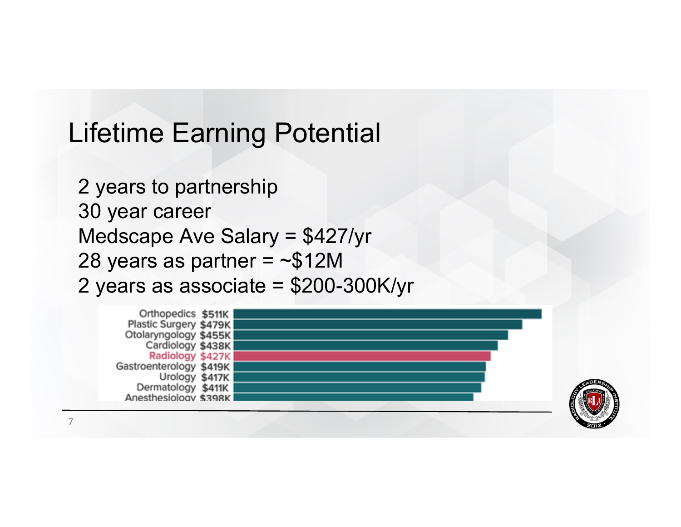## Lifetime Earning Potential

2 years to partnership 30 year career Medscape Ave Salary = \$427/yr 28 years as partner  $=$  ~\$12M 2 years as associate = \$200-300K/yr





7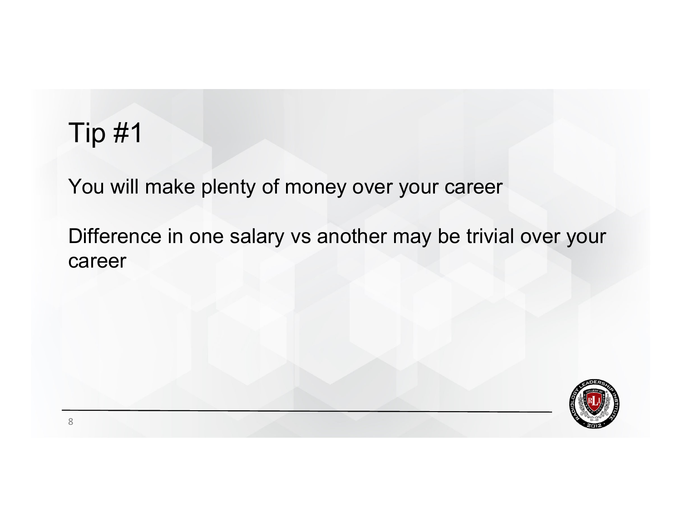## Tip #1

You will make plenty of money over your career

Difference in one salary vs another may be trivial over your career

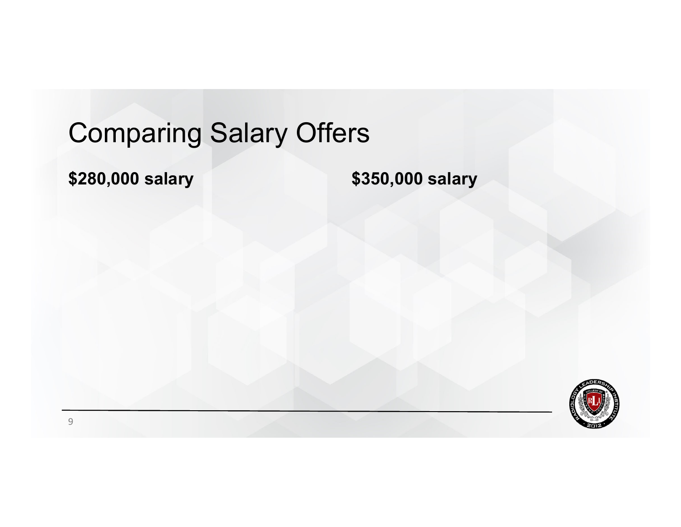**\$280,000 salary \$350,000 salary**

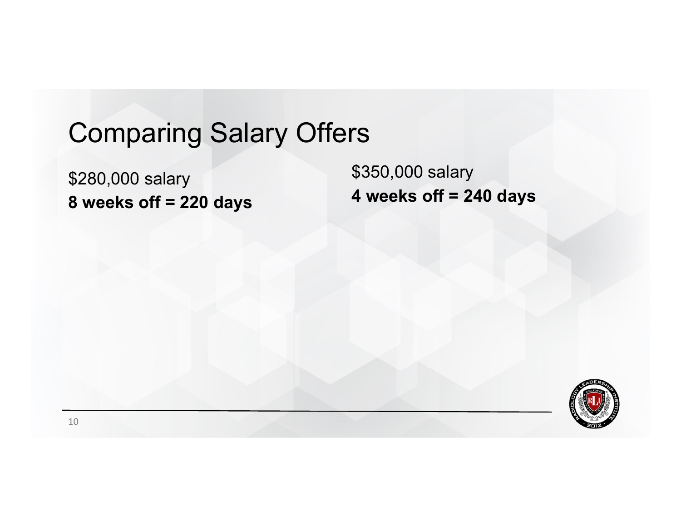\$280,000 salary **8 weeks off = 220 days**

\$350,000 salary **4 weeks off = 240 days**

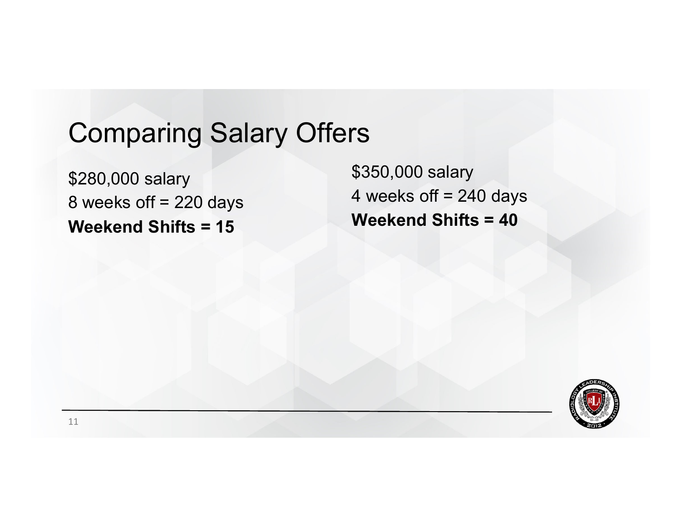\$280,000 salary 8 weeks off = 220 days **Weekend Shifts = 15**

\$350,000 salary 4 weeks off  $= 240$  days **Weekend Shifts = 40**

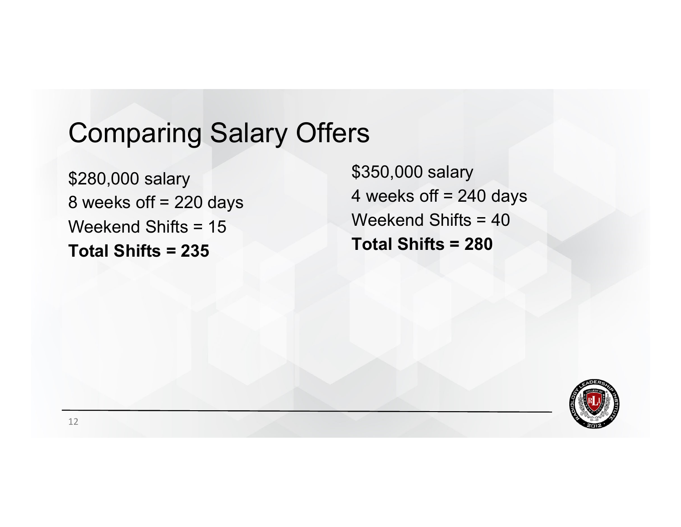\$280,000 salary 8 weeks off = 220 days Weekend Shifts = 15**Total Shifts = 235** 

\$350,000 salary 4 weeks off  $= 240$  days Weekend Shifts = 40 **Total Shifts = 280**

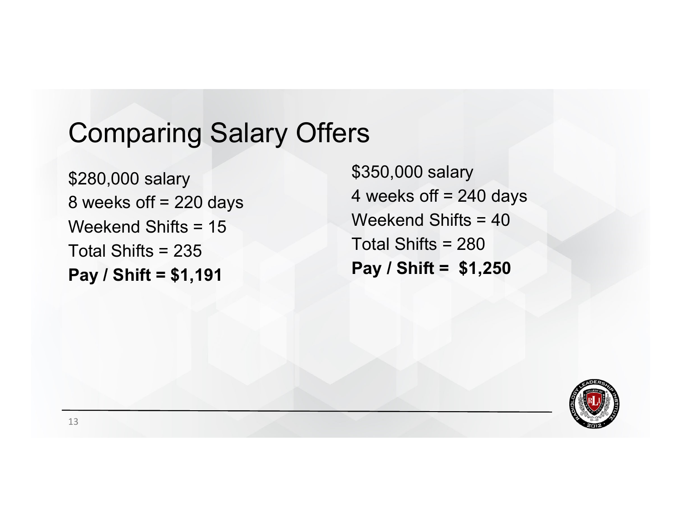\$280,000 salary 8 weeks off = 220 days Weekend Shifts = 15Total Shifts = 235 **Pay / Shift = \$1,191**

\$350,000 salary 4 weeks off  $= 240$  days Weekend Shifts = 40 Total Shifts = 280**Pay / Shift = \$1,250**

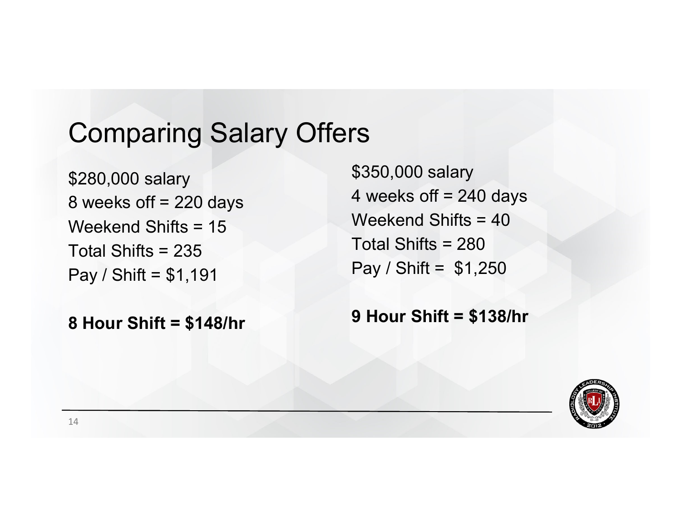\$280,000 salary 8 weeks off = 220 days Weekend Shifts = 15Total Shifts = 235 Pay / Shift = \$1,191

**8 Hour Shift = \$148/hr**

\$350,000 salary 4 weeks off  $= 240$  days Weekend Shifts = 40Total Shifts = 280Pay / Shift = \$1,250

**9 Hour Shift = \$138/hr**

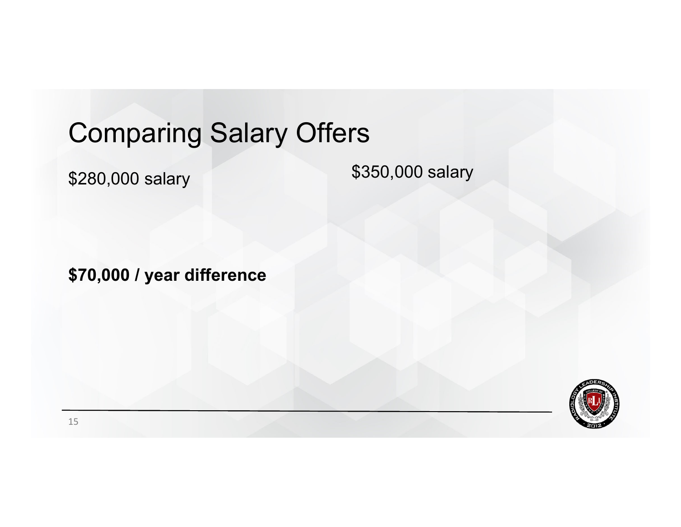\$280,000 salary

\$350,000 salary

**\$70,000 / year difference**

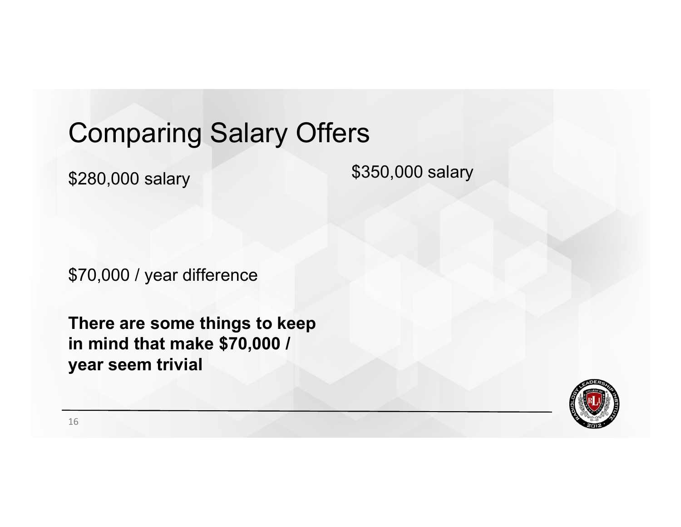\$280,000 salary

\$350,000 salary

\$70,000 / year difference

**There are some things to keep in mind that make \$70,000 / year seem trivial**

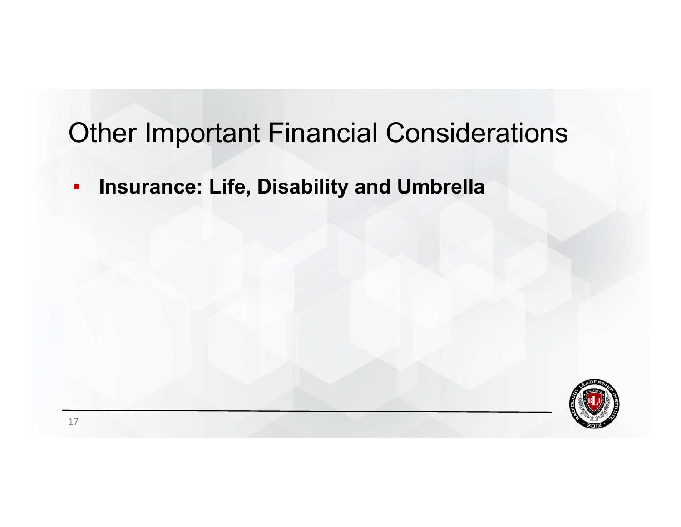$\blacksquare$ **Insurance: Life, Disability and Umbrella**

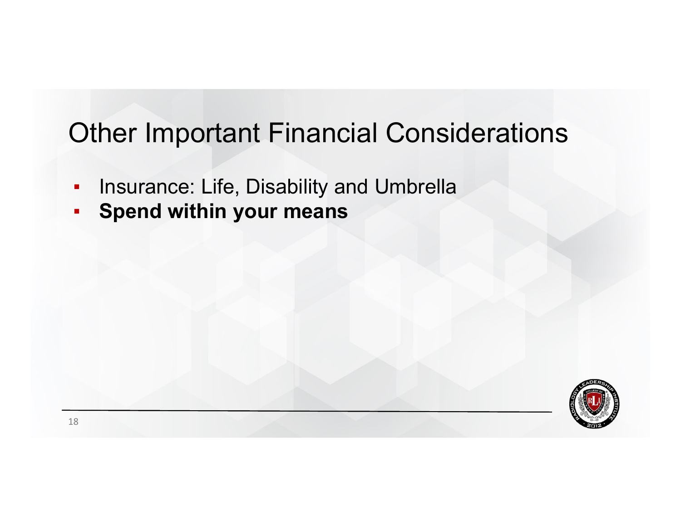- ▪Insurance: Life, Disability and Umbrella
- ▪**Spend within your means**

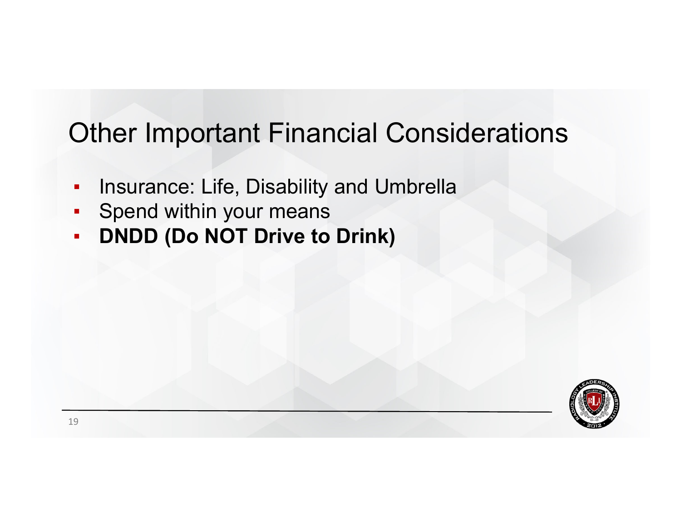- ▪Insurance: Life, Disability and Umbrella
- ▪Spend within your means
- ▪**DNDD (Do NOT Drive to Drink)**

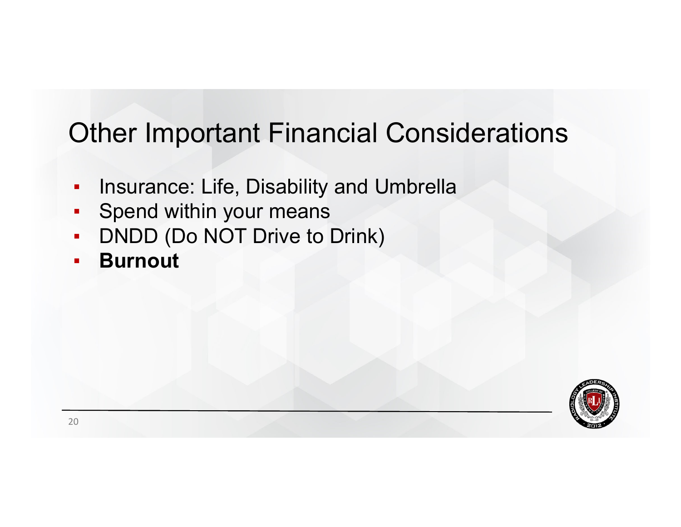- ▪Insurance: Life, Disability and Umbrella
- ▪Spend within your means
- $\blacksquare$ DNDD (Do NOT Drive to Drink)
- $\blacksquare$ **Burnout**

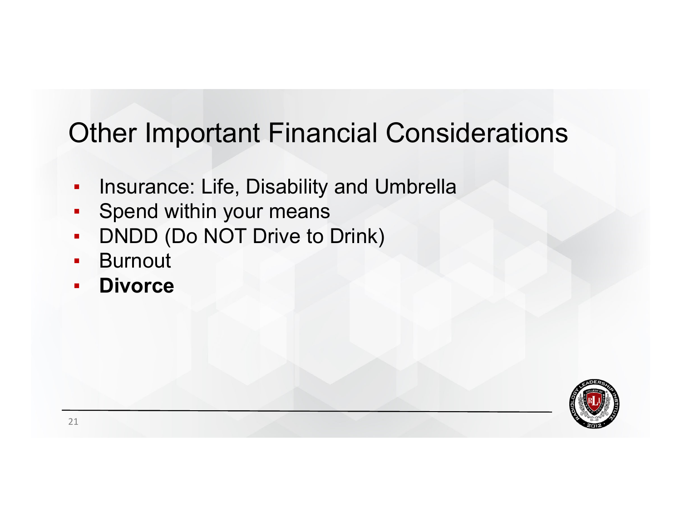- ▪Insurance: Life, Disability and Umbrella
- ▪Spend within your means
- ▪DNDD (Do NOT Drive to Drink)
- $\blacksquare$ **Burnout**
- ▪**Divorce**

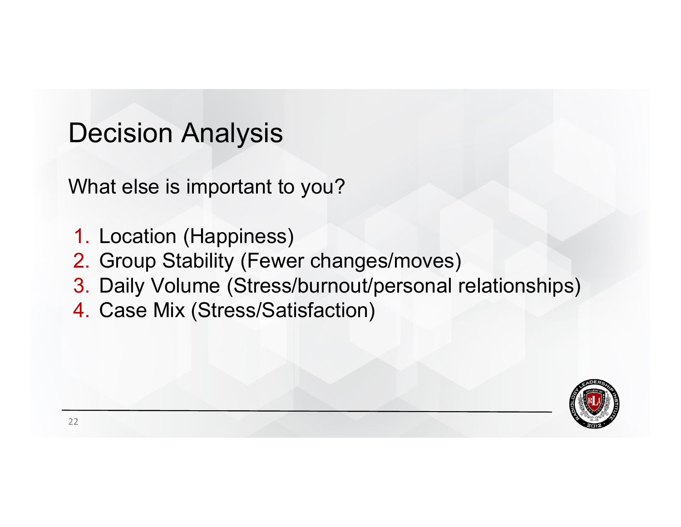### Decision Analysis

What else is important to you?

- 1. Location (Happiness)
- 2. Group Stability (Fewer changes/moves)
- 3. Daily Volume (Stress/burnout/personal relationships)
- 4. Case Mix (Stress/Satisfaction)